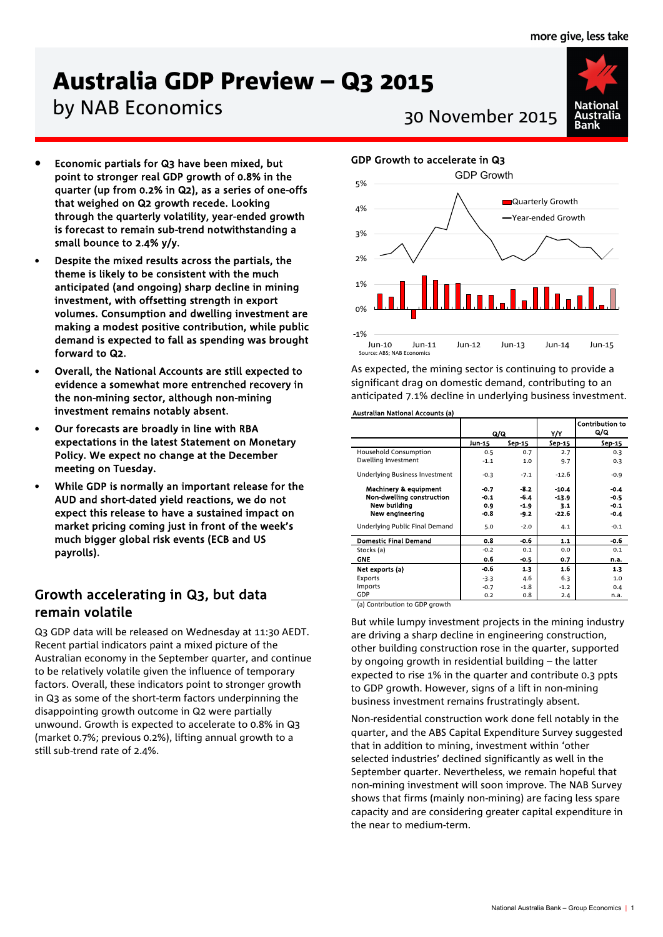# Australia GDP Preview – Q3 2015

# by NAB Economics<br>30 November 2015

- Economic partials for Q3 have been mixed, but point to stronger real GDP growth of 0.8% in the quarter (up from 0.2% in Q2), as a series of one-offs that weighed on Q2 growth recede. Looking through the quarterly volatility, year-ended growth is forecast to remain sub-trend notwithstanding a small bounce to 2.4% y/y.
- Despite the mixed results across the partials, the theme is likely to be consistent with the much anticipated (and ongoing) sharp decline in mining investment, with offsetting strength in export volumes. Consumption and dwelling investment are making a modest positive contribution, while public demand is expected to fall as spending was brought forward to Q2.
- Overall, the National Accounts are still expected to evidence a somewhat more entrenched recovery in the non-mining sector, although non-mining investment remains notably absent.
- Our forecasts are broadly in line with RBA expectations in the latest Statement on Monetary Policy. We expect no change at the December meeting on Tuesday.
- While GDP is normally an important release for the AUD and short-dated yield reactions, we do not expect this release to have a sustained impact on market pricing coming just in front of the week's much bigger global risk events (ECB and US payrolls).

### Growth accelerating in Q3, but data remain volatile

Q3 GDP data will be released on Wednesday at 11:30 AEDT. Recent partial indicators paint a mixed picture of the Australian economy in the September quarter, and continue to be relatively volatile given the influence of temporary factors. Overall, these indicators point to stronger growth in Q3 as some of the short-term factors underpinning the disappointing growth outcome in Q2 were partially unwound. Growth is expected to accelerate to 0.8% in Q3 (market 0.7%; previous 0.2%), lifting annual growth to a still sub-trend rate of 2.4%.



#### GDP Growth to accelerate in Q3



As expected, the mining sector is continuing to provide a significant drag on domestic demand, contributing to an anticipated 7.1% decline in underlying business investment.

#### Australian National Accounts (a)

|                                | Q/Q    |        | Y/Y     | <b>Contribution to</b><br>Q/Q |
|--------------------------------|--------|--------|---------|-------------------------------|
|                                | Jun-15 | Sep-15 | Sep-15  | Sep-15                        |
| Household Consumption          | 0.5    | 0.7    | 2.7     | 0.3                           |
| Dwelling Investment            | $-1.1$ | 1.0    | 9.7     | 0.3                           |
| Underlying Business Investment | $-0.3$ | $-7.1$ | $-12.6$ | $-0.9$                        |
| Machinery & equipment          | $-0.7$ | $-8.2$ | $-10.4$ | $-0.4$                        |
| Non-dwelling construction      | $-0.1$ | $-6.4$ | $-13.9$ | $-0.5$                        |
| New building                   | 0.9    | $-1.9$ | 3.1     | $-0.1$                        |
| New engineering                | -0.8   | $-9.2$ | $-22.6$ | $-0.4$                        |
| Underlying Public Final Demand | 5.0    | $-2.0$ | 4.1     | $-0.1$                        |
| <b>Domestic Final Demand</b>   | 0.8    | $-0.6$ | 1.1     | $-0.6$                        |
| Stocks (a)                     | $-0.2$ | 0.1    | 0.0     | 0.1                           |
| <b>GNE</b>                     | 0.6    | $-0.5$ | 0.7     | n.a.                          |
| Net exports (a)                | -0.6   | 1.3    | 1.6     | 1.3                           |
| Exports                        | $-3.3$ | 4.6    | 6.3     | 1.0                           |
| Imports                        | $-0.7$ | $-1.8$ | $-1.2$  | 0.4                           |
| <b>GDP</b>                     | 0.2    | 0.8    | 2.4     | n.a.                          |

(a) Contribution to GDP growth

But while lumpy investment projects in the mining industry are driving a sharp decline in engineering construction, other building construction rose in the quarter, supported by ongoing growth in residential building – the latter expected to rise 1% in the quarter and contribute 0.3 ppts to GDP growth. However, signs of a lift in non-mining business investment remains frustratingly absent.

Non-residential construction work done fell notably in the quarter, and the ABS Capital Expenditure Survey suggested that in addition to mining, investment within 'other selected industries' declined significantly as well in the September quarter. Nevertheless, we remain hopeful that non-mining investment will soon improve. The NAB Survey shows that firms (mainly non-mining) are facing less spare capacity and are considering greater capital expenditure in the near to medium-term.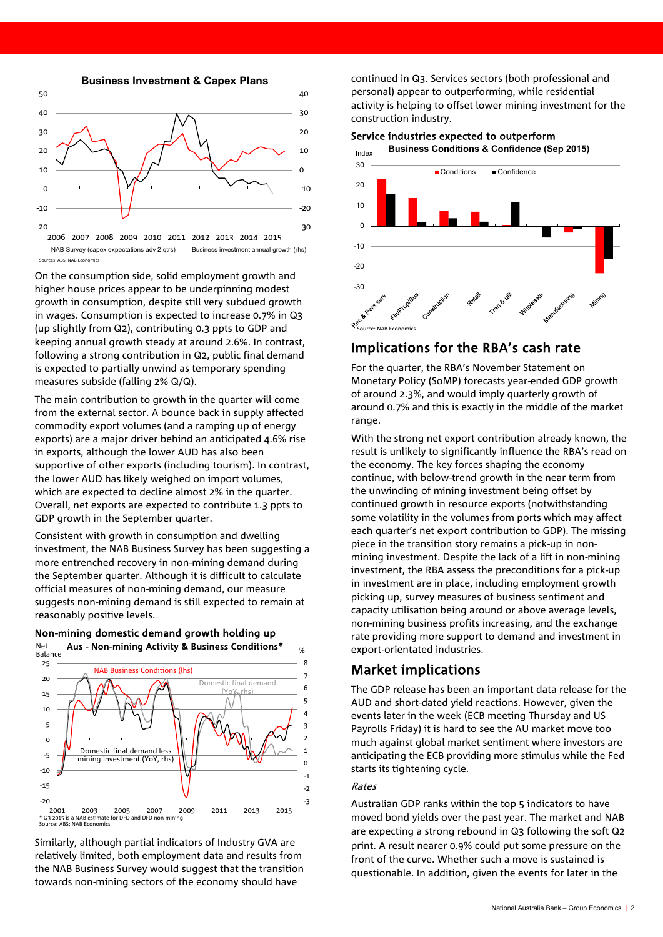**Business Investment & Capex Plans**



-NAB Survey (capex expectations ady 2 gtrs) - Business investment annual growth (rhs) Sources: ABS; NAB Econon

On the consumption side, solid employment growth and higher house prices appear to be underpinning modest growth in consumption, despite still very subdued growth in wages. Consumption is expected to increase 0.7% in Q3 (up slightly from Q2), contributing 0.3 ppts to GDP and keeping annual growth steady at around 2.6%. In contrast, following a strong contribution in Q2, public final demand is expected to partially unwind as temporary spending measures subside (falling 2% Q/Q).

The main contribution to growth in the quarter will come from the external sector. A bounce back in supply affected commodity export volumes (and a ramping up of energy exports) are a major driver behind an anticipated 4.6% rise in exports, although the lower AUD has also been supportive of other exports (including tourism). In contrast, the lower AUD has likely weighed on import volumes, which are expected to decline almost 2% in the quarter. Overall, net exports are expected to contribute 1.3 ppts to GDP growth in the September quarter.

Consistent with growth in consumption and dwelling investment, the NAB Business Survey has been suggesting a more entrenched recovery in non-mining demand during the September quarter. Although it is difficult to calculate official measures of non-mining demand, our measure suggests non-mining demand is still expected to remain at reasonably positive levels.



Non-mining domestic demand growth holding up Net

Similarly, although partial indicators of Industry GVA are relatively limited, both employment data and results from the NAB Business Survey would suggest that the transition towards non-mining sectors of the economy should have

continued in Q3. Services sectors (both professional and personal) appear to outperforming, while residential activity is helping to offset lower mining investment for the construction industry.

Service industries expected to outperform **Business Conditions & Confidence (Sep 2015)**



#### Implications for the RBA's cash rate

For the quarter, the RBA's November Statement on Monetary Policy (SoMP) forecasts year-ended GDP growth of around 2.3%, and would imply quarterly growth of around 0.7% and this is exactly in the middle of the market range.

With the strong net export contribution already known, the result is unlikely to significantly influence the RBA's read on the economy. The key forces shaping the economy continue, with below-trend growth in the near term from the unwinding of mining investment being offset by continued growth in resource exports (notwithstanding some volatility in the volumes from ports which may affect each quarter's net export contribution to GDP). The missing piece in the transition story remains a pick-up in nonmining investment. Despite the lack of a lift in non-mining investment, the RBA assess the preconditions for a pick-up in investment are in place, including employment growth picking up, survey measures of business sentiment and capacity utilisation being around or above average levels, non-mining business profits increasing, and the exchange rate providing more support to demand and investment in export-orientated industries.

#### Market implications

The GDP release has been an important data release for the AUD and short-dated yield reactions. However, given the events later in the week (ECB meeting Thursday and US Payrolls Friday) it is hard to see the AU market move too much against global market sentiment where investors are anticipating the ECB providing more stimulus while the Fed starts its tightening cycle.

#### Rates

Australian GDP ranks within the top 5 indicators to have moved bond yields over the past year. The market and NAB are expecting a strong rebound in Q3 following the soft Q2 print. A result nearer 0.9% could put some pressure on the front of the curve. Whether such a move is sustained is questionable. In addition, given the events for later in the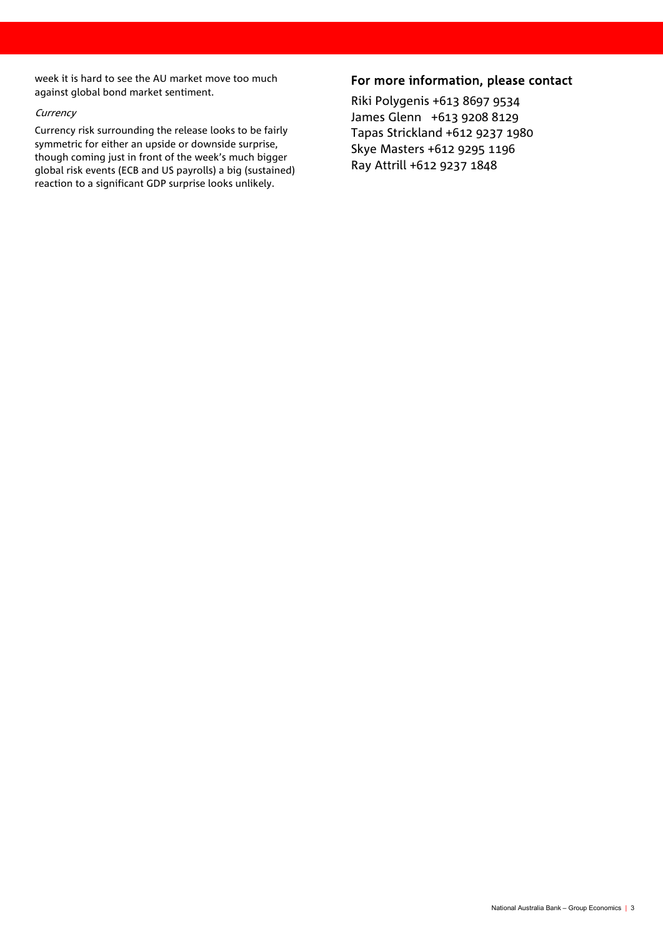week it is hard to see the AU market move too much against global bond market sentiment.

#### **Currency**

Currency risk surrounding the release looks to be fairly symmetric for either an upside or downside surprise, though coming just in front of the week's much bigger global risk events (ECB and US payrolls) a big (sustained) reaction to a significant GDP surprise looks unlikely.

### For more information, please contact

Riki Polygenis +613 8697 9534 James Glenn +613 9208 8129 Tapas Strickland +612 9237 1980 Skye Masters +612 9295 1196 Ray Attrill +612 9237 1848